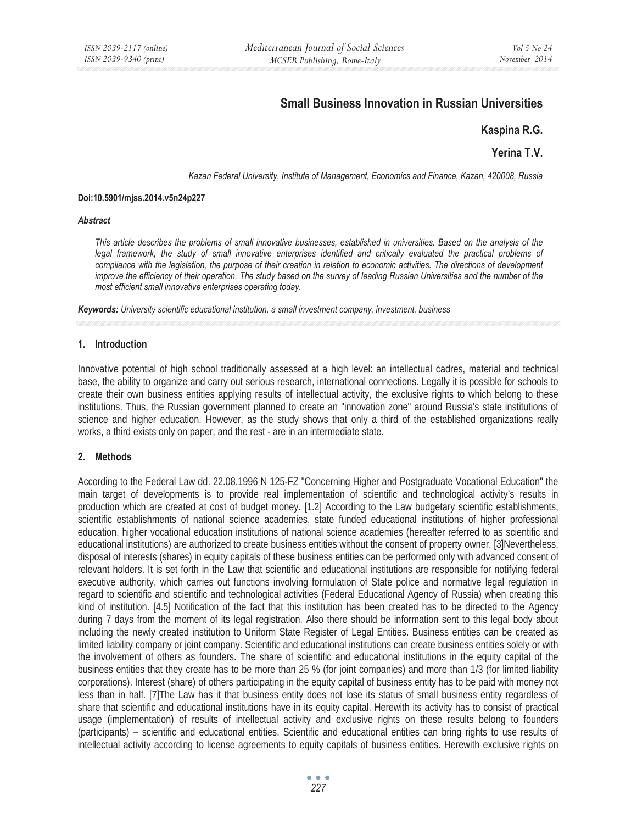# **Small Business Innovation in Russian Universities**

# **Kaspina R.G.**

# **Yerina T.V.**

*Kazan Federal University, Institute of Management, Economics and Finance, Kazan, 420008, Russia* 

#### **Doi:10.5901/mjss.2014.v5n24p227**

#### *Abstract*

*This article describes the problems of small innovative businesses, established in universities. Based on the analysis of the*  legal framework, the study of small innovative enterprises identified and critically evaluated the practical problems of compliance with the legislation, the purpose of their creation in relation to economic activities. The directions of development *improve the efficiency of their operation. The study based on the survey of leading Russian Universities and the number of the most efficient small innovative enterprises operating today.* 

*Keywords: University scientific educational institution, a small investment company, investment, business* 

## **1. Introduction**

Innovative potential of high school traditionally assessed at a high level: an intellectual cadres, material and technical base, the ability to organize and carry out serious research, international connections. Legally it is possible for schools to create their own business entities applying results of intellectual activity, the exclusive rights to which belong to these institutions. Thus, the Russian government planned to create an "innovation zone" around Russia's state institutions of science and higher education. However, as the study shows that only a third of the established organizations really works, a third exists only on paper, and the rest - are in an intermediate state.

## **2. Methods**

According to the Federal Law dd. 22.08.1996 N 125-FZ "Concerning Higher and Postgraduate Vocational Education" the main target of developments is to provide real implementation of scientific and technological activity's results in production which are created at cost of budget money. [1.2] According to the Law budgetary scientific establishments, scientific establishments of national science academies, state funded educational institutions of higher professional education, higher vocational education institutions of national science academies (hereafter referred to as scientific and educational institutions) are authorized to create business entities without the consent of property owner. [3]Nevertheless, disposal of interests (shares) in equity capitals of these business entities can be performed only with advanced consent of relevant holders. It is set forth in the Law that scientific and educational institutions are responsible for notifying federal executive authority, which carries out functions involving formulation of State police and normative legal regulation in regard to scientific and scientific and technological activities (Federal Educational Agency of Russia) when creating this kind of institution. [4.5] Notification of the fact that this institution has been created has to be directed to the Agency during 7 days from the moment of its legal registration. Also there should be information sent to this legal body about including the newly created institution to Uniform State Register of Legal Entities. Business entities can be created as limited liability company or joint company. Scientific and educational institutions can create business entities solely or with the involvement of others as founders. The share of scientific and educational institutions in the equity capital of the business entities that they create has to be more than 25 % (for joint companies) and more than 1/3 (for limited liability corporations). Interest (share) of others participating in the equity capital of business entity has to be paid with money not less than in half. [7]The Law has it that business entity does not lose its status of small business entity regardless of share that scientific and educational institutions have in its equity capital. Herewith its activity has to consist of practical usage (implementation) of results of intellectual activity and exclusive rights on these results belong to founders (participants) – scientific and educational entities. Scientific and educational entities can bring rights to use results of intellectual activity according to license agreements to equity capitals of business entities. Herewith exclusive rights on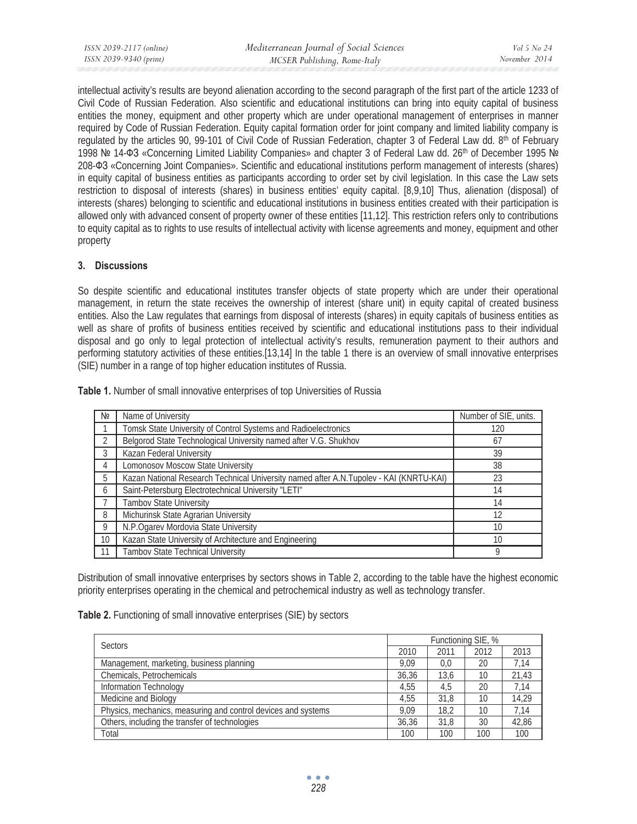intellectual activity's results are beyond alienation according to the second paragraph of the first part of the article 1233 of Civil Code of Russian Federation. Also scientific and educational institutions can bring into equity capital of business entities the money, equipment and other property which are under operational management of enterprises in manner required by Code of Russian Federation. Equity capital formation order for joint company and limited liability company is regulated by the articles 90, 99-101 of Civil Code of Russian Federation, chapter 3 of Federal Law dd. 8<sup>th</sup> of February 1998 № 14-ФЗ «Concerning Limited Liability Companies» and chapter 3 of Federal Law dd. 26<sup>th</sup> of December 1995 № 208- $\Phi$ 3 «Concerning Joint Companies». Scientific and educational institutions perform management of interests (shares) in equity capital of business entities as participants according to order set by civil legislation. In this case the Law sets restriction to disposal of interests (shares) in business entities' equity capital. [8,9,10] Thus, alienation (disposal) of interests (shares) belonging to scientific and educational institutions in business entities created with their participation is allowed only with advanced consent of property owner of these entities [11,12]. This restriction refers only to contributions to equity capital as to rights to use results of intellectual activity with license agreements and money, equipment and other property

## **3. Discussions**

So despite scientific and educational institutes transfer objects of state property which are under their operational management, in return the state receives the ownership of interest (share unit) in equity capital of created business entities. Also the Law regulates that earnings from disposal of interests (shares) in equity capitals of business entities as well as share of profits of business entities received by scientific and educational institutions pass to their individual disposal and go only to legal protection of intellectual activity's results, remuneration payment to their authors and performing statutory activities of these entities.[13,14] In the table 1 there is an overview of small innovative enterprises (SIE) number in a range of top higher education institutes of Russia.

| Nº | Name of University                                                                     | Number of SIE, units. |
|----|----------------------------------------------------------------------------------------|-----------------------|
|    | Tomsk State University of Control Systems and Radioelectronics                         | 120                   |
| 2  | Belgorod State Technological University named after V.G. Shukhov                       | 67                    |
| 3  | Kazan Federal University                                                               | 39                    |
| 4  | Lomonosov Moscow State University                                                      | 38                    |
| 5  | Kazan National Research Technical University named after A.N.Tupolev - KAI (KNRTU-KAI) | 23                    |
| 6  | Saint-Petersburg Electrotechnical University "LETI"                                    | 14                    |
|    | Tambov State University                                                                | 14                    |
| 8  | Michurinsk State Agrarian University                                                   | 12                    |
| 9  | N.P.Ogarev Mordovia State University                                                   | 10                    |
| 10 | Kazan State University of Architecture and Engineering                                 | 10                    |
|    | Tambov State Technical University                                                      | Q                     |

**Table 1.** Number of small innovative enterprises of top Universities of Russia

Distribution of small innovative enterprises by sectors shows in Table 2, according to the table have the highest economic priority enterprises operating in the chemical and petrochemical industry as well as technology transfer.

**Table 2.** Functioning of small innovative enterprises (SIE) by sectors

| <b>Sectors</b>                                                |      | Functioning SIE, % |      |       |  |
|---------------------------------------------------------------|------|--------------------|------|-------|--|
|                                                               |      | 2011               | 2012 | 2013  |  |
| Management, marketing, business planning                      |      | 0.0                | 20   | 7.14  |  |
| Chemicals, Petrochemicals                                     |      | 13.6               | 10   | 21,43 |  |
| Information Technology                                        |      | 4.5                | 20   | 7.14  |  |
| Medicine and Biology                                          | 4.55 | 31.8               | 10   | 14.29 |  |
| Physics, mechanics, measuring and control devices and systems |      | 18.2               | 10   | 7.14  |  |
| Others, including the transfer of technologies                |      | 31.8               | 30   | 42,86 |  |
| Total                                                         | 100  | 100                | 100  | 100   |  |

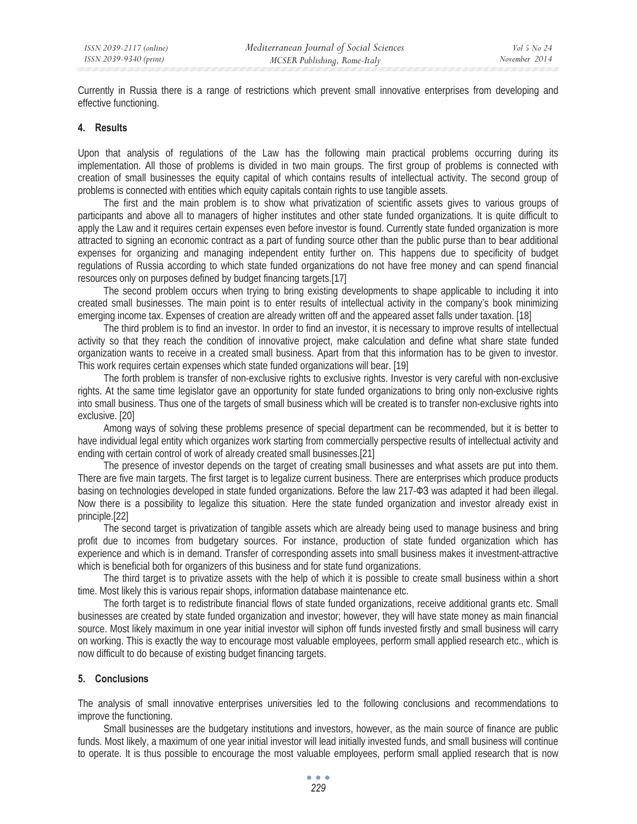Currently in Russia there is a range of restrictions which prevent small innovative enterprises from developing and effective functioning.

## **4. Results**

Upon that analysis of regulations of the Law has the following main practical problems occurring during its implementation. All those of problems is divided in two main groups. The first group of problems is connected with creation of small businesses the equity capital of which contains results of intellectual activity. The second group of problems is connected with entities which equity capitals contain rights to use tangible assets.

The first and the main problem is to show what privatization of scientific assets gives to various groups of participants and above all to managers of higher institutes and other state funded organizations. It is quite difficult to apply the Law and it requires certain expenses even before investor is found. Currently state funded organization is more attracted to signing an economic contract as a part of funding source other than the public purse than to bear additional expenses for organizing and managing independent entity further on. This happens due to specificity of budget regulations of Russia according to which state funded organizations do not have free money and can spend financial resources only on purposes defined by budget financing targets.[17]

The second problem occurs when trying to bring existing developments to shape applicable to including it into created small businesses. The main point is to enter results of intellectual activity in the company's book minimizing emerging income tax. Expenses of creation are already written off and the appeared asset falls under taxation. [18]

The third problem is to find an investor. In order to find an investor, it is necessary to improve results of intellectual activity so that they reach the condition of innovative project, make calculation and define what share state funded organization wants to receive in a created small business. Apart from that this information has to be given to investor. This work requires certain expenses which state funded organizations will bear. [19]

The forth problem is transfer of non-exclusive rights to exclusive rights. Investor is very careful with non-exclusive rights. At the same time legislator gave an opportunity for state funded organizations to bring only non-exclusive rights into small business. Thus one of the targets of small business which will be created is to transfer non-exclusive rights into exclusive. [20]

Among ways of solving these problems presence of special department can be recommended, but it is better to have individual legal entity which organizes work starting from commercially perspective results of intellectual activity and ending with certain control of work of already created small businesses.[21]

The presence of investor depends on the target of creating small businesses and what assets are put into them. There are five main targets. The first target is to legalize current business. There are enterprises which produce products basing on technologies developed in state funded organizations. Before the law 217- $\Phi$ 3 was adapted it had been illegal. Now there is a possibility to legalize this situation. Here the state funded organization and investor already exist in principle.[22]

The second target is privatization of tangible assets which are already being used to manage business and bring profit due to incomes from budgetary sources. For instance, production of state funded organization which has experience and which is in demand. Transfer of corresponding assets into small business makes it investment-attractive which is beneficial both for organizers of this business and for state fund organizations.

The third target is to privatize assets with the help of which it is possible to create small business within a short time. Most likely this is various repair shops, information database maintenance etc.

The forth target is to redistribute financial flows of state funded organizations, receive additional grants etc. Small businesses are created by state funded organization and investor; however, they will have state money as main financial source. Most likely maximum in one year initial investor will siphon off funds invested firstly and small business will carry on working. This is exactly the way to encourage most valuable employees, perform small applied research etc., which is now difficult to do because of existing budget financing targets.

## **5. Conclusions**

The analysis of small innovative enterprises universities led to the following conclusions and recommendations to improve the functioning.

Small businesses are the budgetary institutions and investors, however, as the main source of finance are public funds. Most likely, a maximum of one year initial investor will lead initially invested funds, and small business will continue to operate. It is thus possible to encourage the most valuable employees, perform small applied research that is now